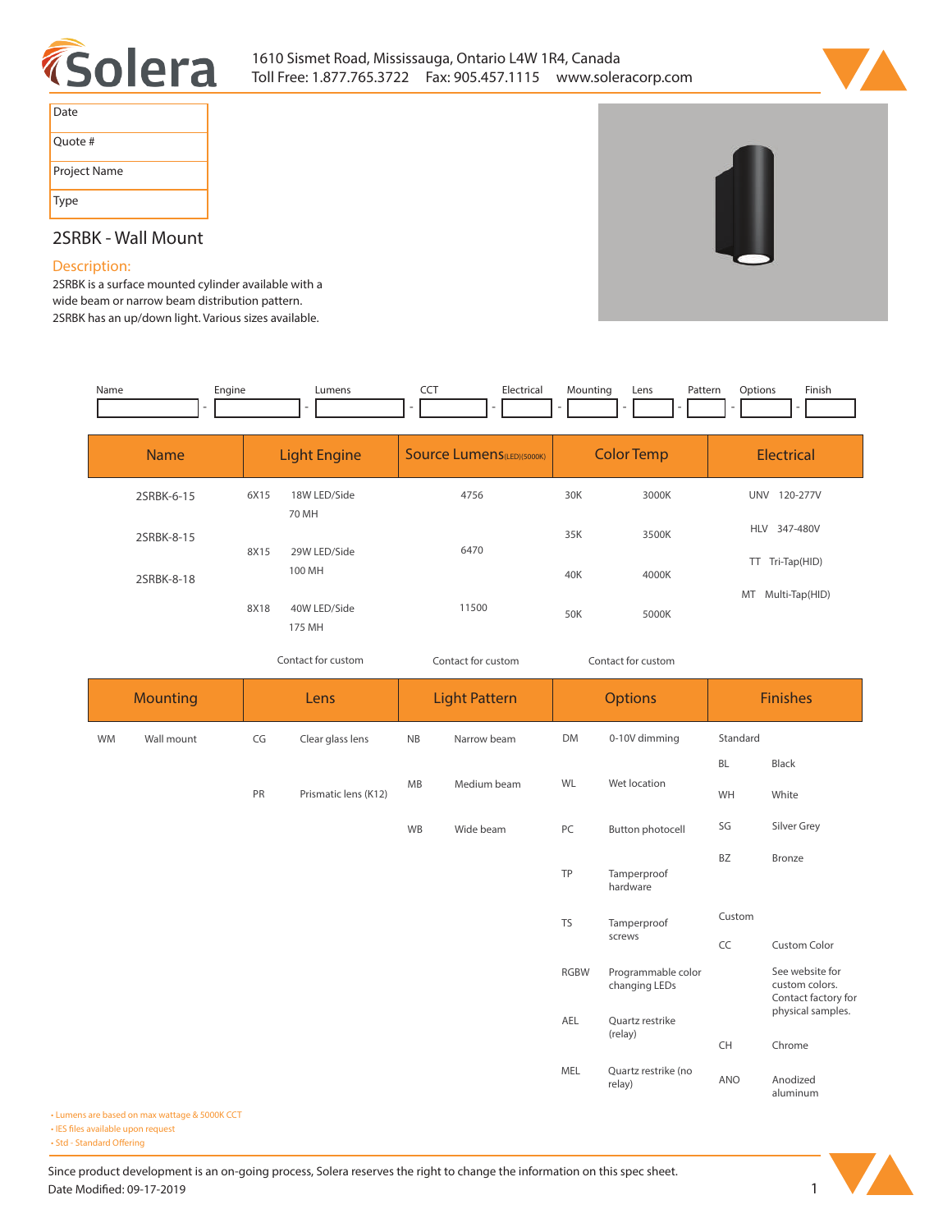



| Date         |
|--------------|
| Quote #      |
| Project Name |
| Type         |

# **2SRBK - Wall Mount**

## **Description:**

**2SRBK is a surface mounted cylinder available with a wide beam or narrow beam distribution pattern. 2SRBK has an up/down light. Various sizes available.** 

| Name      |                 | Engine | Lumens                 | CCT       | Electrical                        | Mounting              | Pattern<br>Lens                     | Options  | Finish                                                   |  |
|-----------|-----------------|--------|------------------------|-----------|-----------------------------------|-----------------------|-------------------------------------|----------|----------------------------------------------------------|--|
|           | <b>Name</b>     |        | <b>Light Engine</b>    |           | <b>Source Lumens</b> (LED)(5000K) |                       | <b>Color Temp</b>                   |          | <b>Electrical</b>                                        |  |
|           | 2SRBK-6-15      | 6X15   | 18W LED/Side<br>70 MH  |           | 4756                              | 30K                   | 3000K                               |          | UNV 120-277V                                             |  |
|           | 2SRBK-8-15      | 8X15   | 29W LED/Side<br>100 MH | 6470      |                                   | 35K                   | 3500K                               |          | HLV 347-480V                                             |  |
|           | 2SRBK-8-18      |        |                        |           |                                   | 40K                   | 4000K                               |          | TT Tri-Tap(HID)<br>MT Multi-Tap(HID)                     |  |
|           |                 | 8X18   | 40W LED/Side<br>175 MH |           | 11500                             | 50K                   | 5000K                               |          |                                                          |  |
|           |                 |        | Contact for custom     |           | Contact for custom                |                       | Contact for custom                  |          |                                                          |  |
|           | <b>Mounting</b> |        | Lens                   |           | <b>Light Pattern</b>              |                       | <b>Options</b>                      |          | Finishes                                                 |  |
| <b>WM</b> | Wall mount      | CG     | Clear glass lens       | NB        | Narrow beam                       | <b>DM</b>             | 0-10V dimming                       | Standard |                                                          |  |
|           |                 | PR     | Prismatic lens (K12)   | MB        | Medium beam                       | WL                    | Wet location                        | BL<br>WH | Black<br>White                                           |  |
|           |                 |        |                        | <b>WB</b> | Wide beam                         | PC                    | <b>Button photocell</b>             | SG       | Silver Grey                                              |  |
|           |                 |        |                        |           |                                   | TP                    | Tamperproof<br>hardware             | BZ       | <b>Bronze</b>                                            |  |
|           |                 |        |                        |           | <b>TS</b>                         | Tamperproof<br>screws | Custom                              |          |                                                          |  |
|           |                 |        |                        |           |                                   |                       |                                     | CC       | Custom Color                                             |  |
|           |                 |        |                        |           |                                   | <b>RGBW</b>           | Programmable color<br>changing LEDs |          | See website for<br>custom colors.<br>Contact factory for |  |
|           |                 |        |                        |           |                                   | AEL                   | Quartz restrike<br>(relay)          | CH       | physical samples.<br>Chrome                              |  |
|           |                 |        |                        |           |                                   | MEL                   | Quartz restrike (no<br>relay)       | ANO      | Anodized<br>aluminum                                     |  |

**• Lumens are based on max wattage & 5000K CCT**

**• IES files available upon request** 

• Std - Standard Offering

Since product development is an on-going process, Solera reserves the right to change the information on this spec sheet. **Date Modified: 09-17-2019** 1